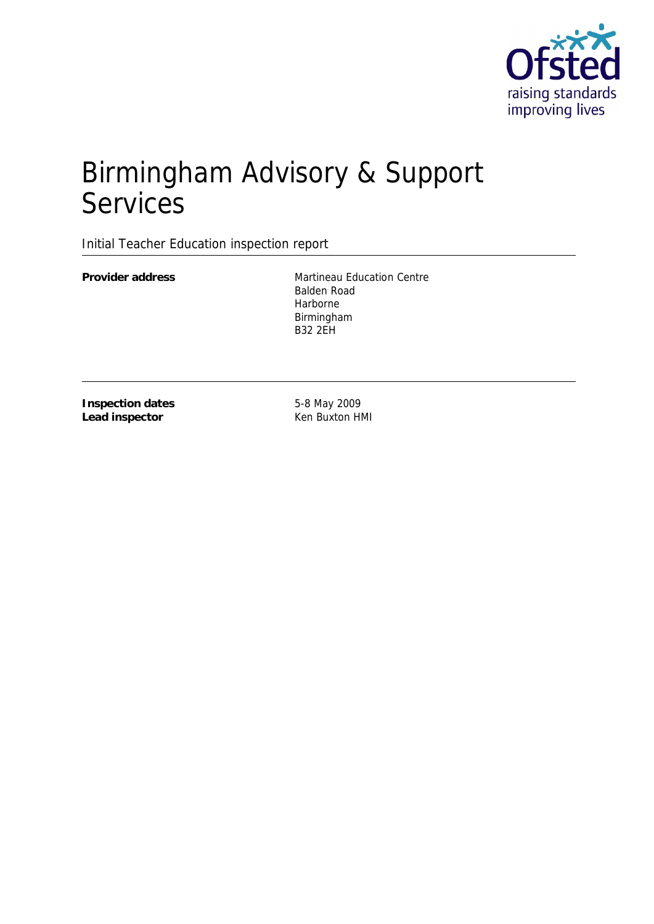

# Birmingham Advisory & Support Services

Initial Teacher Education inspection report

**Provider address** Martineau Education Centre Balden Road Harborne Birmingham B32 2EH

**Inspection dates Lead inspector**

5-8 May 2009 Ken Buxton HMI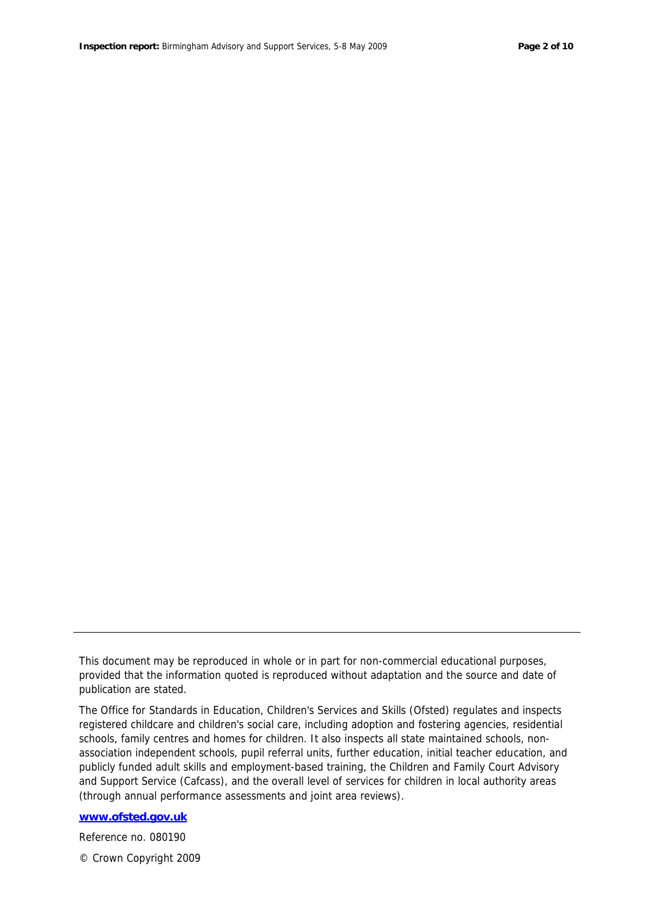This document may be reproduced in whole or in part for non-commercial educational purposes, provided that the information quoted is reproduced without adaptation and the source and date of publication are stated.

The Office for Standards in Education, Children's Services and Skills (Ofsted) regulates and inspects registered childcare and children's social care, including adoption and fostering agencies, residential schools, family centres and homes for children. It also inspects all state maintained schools, nonassociation independent schools, pupil referral units, further education, initial teacher education, and publicly funded adult skills and employment-based training, the Children and Family Court Advisory and Support Service (Cafcass), and the overall level of services for children in local authority areas (through annual performance assessments and joint area reviews).

**www.ofsted.gov.uk**

Reference no. 080190

© Crown Copyright 2009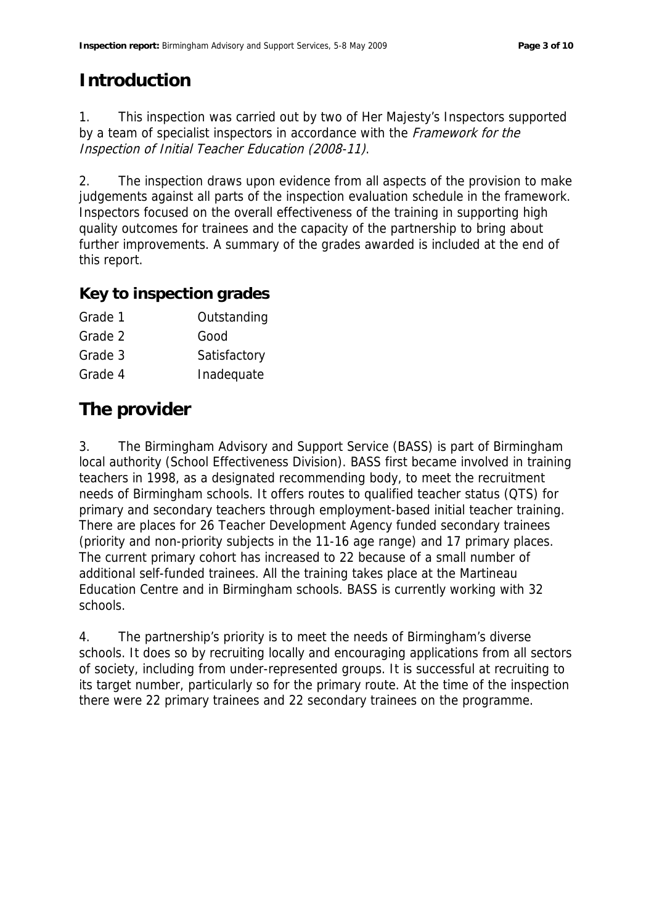# **Introduction**

1. This inspection was carried out by two of Her Majesty's Inspectors supported by a team of specialist inspectors in accordance with the Framework for the Inspection of Initial Teacher Education (2008-11).

2. The inspection draws upon evidence from all aspects of the provision to make judgements against all parts of the inspection evaluation schedule in the framework. Inspectors focused on the overall effectiveness of the training in supporting high quality outcomes for trainees and the capacity of the partnership to bring about further improvements. A summary of the grades awarded is included at the end of this report.

#### **Key to inspection grades**

| Outstanding  |
|--------------|
| Good         |
| Satisfactory |
| Inadequate   |
|              |

# **The provider**

3. The Birmingham Advisory and Support Service (BASS) is part of Birmingham local authority (School Effectiveness Division). BASS first became involved in training teachers in 1998, as a designated recommending body, to meet the recruitment needs of Birmingham schools. It offers routes to qualified teacher status (QTS) for primary and secondary teachers through employment-based initial teacher training. There are places for 26 Teacher Development Agency funded secondary trainees (priority and non-priority subjects in the 11-16 age range) and 17 primary places. The current primary cohort has increased to 22 because of a small number of additional self-funded trainees. All the training takes place at the Martineau Education Centre and in Birmingham schools. BASS is currently working with 32 schools.

4. The partnership's priority is to meet the needs of Birmingham's diverse schools. It does so by recruiting locally and encouraging applications from all sectors of society, including from under-represented groups. It is successful at recruiting to its target number, particularly so for the primary route. At the time of the inspection there were 22 primary trainees and 22 secondary trainees on the programme.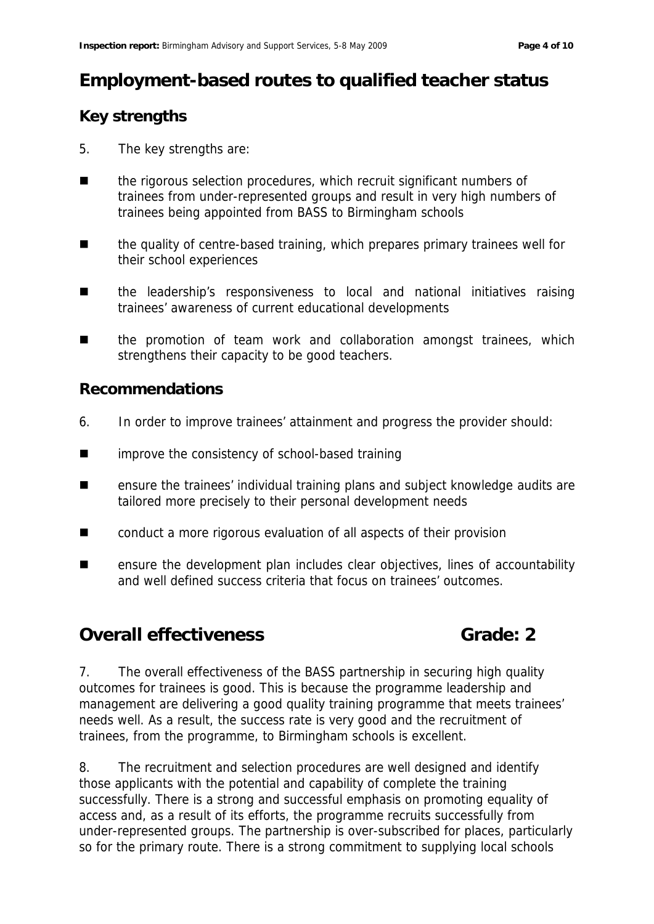# **Employment-based routes to qualified teacher status**

#### **Key strengths**

- 5. The key strengths are:
- the rigorous selection procedures, which recruit significant numbers of trainees from under-represented groups and result in very high numbers of trainees being appointed from BASS to Birmingham schools
- the quality of centre-based training, which prepares primary trainees well for their school experiences
- **n** the leadership's responsiveness to local and national initiatives raising trainees' awareness of current educational developments
- the promotion of team work and collaboration amongst trainees, which strengthens their capacity to be good teachers.

#### **Recommendations**

- 6. In order to improve trainees' attainment and progress the provider should:
- **EXECUTE:** improve the consistency of school-based training
- ensure the trainees' individual training plans and subject knowledge audits are tailored more precisely to their personal development needs
- conduct a more rigorous evaluation of all aspects of their provision
- ensure the development plan includes clear objectives, lines of accountability and well defined success criteria that focus on trainees' outcomes.

## **Overall effectiveness Grade: 2**

7. The overall effectiveness of the BASS partnership in securing high quality outcomes for trainees is good. This is because the programme leadership and management are delivering a good quality training programme that meets trainees' needs well. As a result, the success rate is very good and the recruitment of trainees, from the programme, to Birmingham schools is excellent.

8. The recruitment and selection procedures are well designed and identify those applicants with the potential and capability of complete the training successfully. There is a strong and successful emphasis on promoting equality of access and, as a result of its efforts, the programme recruits successfully from under-represented groups. The partnership is over-subscribed for places, particularly so for the primary route. There is a strong commitment to supplying local schools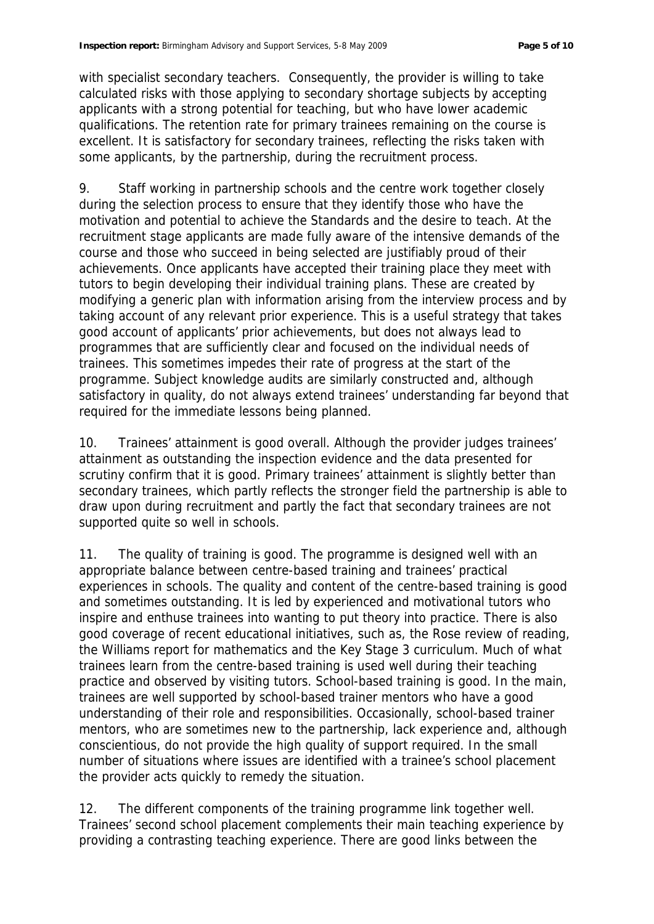with specialist secondary teachers. Consequently, the provider is willing to take calculated risks with those applying to secondary shortage subjects by accepting applicants with a strong potential for teaching, but who have lower academic qualifications. The retention rate for primary trainees remaining on the course is excellent. It is satisfactory for secondary trainees, reflecting the risks taken with some applicants, by the partnership, during the recruitment process.

9. Staff working in partnership schools and the centre work together closely during the selection process to ensure that they identify those who have the motivation and potential to achieve the Standards and the desire to teach. At the recruitment stage applicants are made fully aware of the intensive demands of the course and those who succeed in being selected are justifiably proud of their achievements. Once applicants have accepted their training place they meet with tutors to begin developing their individual training plans. These are created by modifying a generic plan with information arising from the interview process and by taking account of any relevant prior experience. This is a useful strategy that takes good account of applicants' prior achievements, but does not always lead to programmes that are sufficiently clear and focused on the individual needs of trainees. This sometimes impedes their rate of progress at the start of the programme. Subject knowledge audits are similarly constructed and, although satisfactory in quality, do not always extend trainees' understanding far beyond that required for the immediate lessons being planned.

10. Trainees' attainment is good overall. Although the provider judges trainees' attainment as outstanding the inspection evidence and the data presented for scrutiny confirm that it is good. Primary trainees' attainment is slightly better than secondary trainees, which partly reflects the stronger field the partnership is able to draw upon during recruitment and partly the fact that secondary trainees are not supported quite so well in schools.

11. The quality of training is good. The programme is designed well with an appropriate balance between centre-based training and trainees' practical experiences in schools. The quality and content of the centre-based training is good and sometimes outstanding. It is led by experienced and motivational tutors who inspire and enthuse trainees into wanting to put theory into practice. There is also good coverage of recent educational initiatives, such as, the Rose review of reading, the Williams report for mathematics and the Key Stage 3 curriculum. Much of what trainees learn from the centre-based training is used well during their teaching practice and observed by visiting tutors. School-based training is good. In the main, trainees are well supported by school-based trainer mentors who have a good understanding of their role and responsibilities. Occasionally, school-based trainer mentors, who are sometimes new to the partnership, lack experience and, although conscientious, do not provide the high quality of support required. In the small number of situations where issues are identified with a trainee's school placement the provider acts quickly to remedy the situation.

12. The different components of the training programme link together well. Trainees' second school placement complements their main teaching experience by providing a contrasting teaching experience. There are good links between the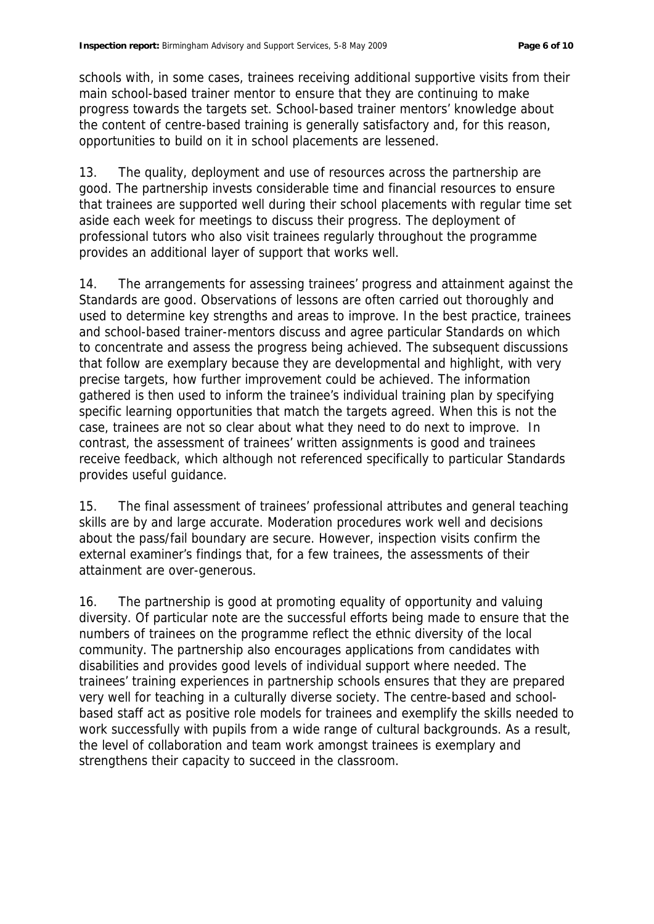schools with, in some cases, trainees receiving additional supportive visits from their main school-based trainer mentor to ensure that they are continuing to make progress towards the targets set. School-based trainer mentors' knowledge about the content of centre-based training is generally satisfactory and, for this reason, opportunities to build on it in school placements are lessened.

13. The quality, deployment and use of resources across the partnership are good. The partnership invests considerable time and financial resources to ensure that trainees are supported well during their school placements with regular time set aside each week for meetings to discuss their progress. The deployment of professional tutors who also visit trainees regularly throughout the programme provides an additional layer of support that works well.

14. The arrangements for assessing trainees' progress and attainment against the Standards are good. Observations of lessons are often carried out thoroughly and used to determine key strengths and areas to improve. In the best practice, trainees and school-based trainer-mentors discuss and agree particular Standards on which to concentrate and assess the progress being achieved. The subsequent discussions that follow are exemplary because they are developmental and highlight, with very precise targets, how further improvement could be achieved. The information gathered is then used to inform the trainee's individual training plan by specifying specific learning opportunities that match the targets agreed. When this is not the case, trainees are not so clear about what they need to do next to improve. In contrast, the assessment of trainees' written assignments is good and trainees receive feedback, which although not referenced specifically to particular Standards provides useful guidance.

15. The final assessment of trainees' professional attributes and general teaching skills are by and large accurate. Moderation procedures work well and decisions about the pass/fail boundary are secure. However, inspection visits confirm the external examiner's findings that, for a few trainees, the assessments of their attainment are over-generous.

16. The partnership is good at promoting equality of opportunity and valuing diversity. Of particular note are the successful efforts being made to ensure that the numbers of trainees on the programme reflect the ethnic diversity of the local community. The partnership also encourages applications from candidates with disabilities and provides good levels of individual support where needed. The trainees' training experiences in partnership schools ensures that they are prepared very well for teaching in a culturally diverse society. The centre-based and schoolbased staff act as positive role models for trainees and exemplify the skills needed to work successfully with pupils from a wide range of cultural backgrounds. As a result, the level of collaboration and team work amongst trainees is exemplary and strengthens their capacity to succeed in the classroom.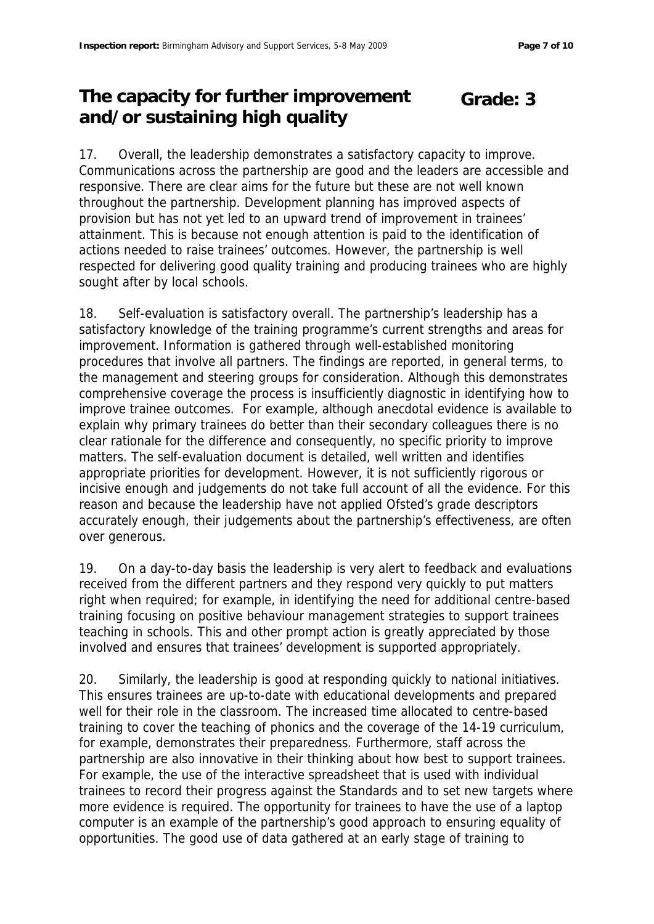#### **The capacity for further improvement and/or sustaining high quality Grade: 3**

17. Overall, the leadership demonstrates a satisfactory capacity to improve. Communications across the partnership are good and the leaders are accessible and responsive. There are clear aims for the future but these are not well known throughout the partnership. Development planning has improved aspects of provision but has not yet led to an upward trend of improvement in trainees' attainment. This is because not enough attention is paid to the identification of actions needed to raise trainees' outcomes. However, the partnership is well respected for delivering good quality training and producing trainees who are highly sought after by local schools.

18. Self-evaluation is satisfactory overall. The partnership's leadership has a satisfactory knowledge of the training programme's current strengths and areas for improvement. Information is gathered through well-established monitoring procedures that involve all partners. The findings are reported, in general terms, to the management and steering groups for consideration. Although this demonstrates comprehensive coverage the process is insufficiently diagnostic in identifying how to improve trainee outcomes. For example, although anecdotal evidence is available to explain why primary trainees do better than their secondary colleagues there is no clear rationale for the difference and consequently, no specific priority to improve matters. The self-evaluation document is detailed, well written and identifies appropriate priorities for development. However, it is not sufficiently rigorous or incisive enough and judgements do not take full account of all the evidence. For this reason and because the leadership have not applied Ofsted's grade descriptors accurately enough, their judgements about the partnership's effectiveness, are often over generous.

19. On a day-to-day basis the leadership is very alert to feedback and evaluations received from the different partners and they respond very quickly to put matters right when required; for example, in identifying the need for additional centre-based training focusing on positive behaviour management strategies to support trainees teaching in schools. This and other prompt action is greatly appreciated by those involved and ensures that trainees' development is supported appropriately.

20. Similarly, the leadership is good at responding quickly to national initiatives. This ensures trainees are up-to-date with educational developments and prepared well for their role in the classroom. The increased time allocated to centre-based training to cover the teaching of phonics and the coverage of the 14-19 curriculum, for example, demonstrates their preparedness. Furthermore, staff across the partnership are also innovative in their thinking about how best to support trainees. For example, the use of the interactive spreadsheet that is used with individual trainees to record their progress against the Standards and to set new targets where more evidence is required. The opportunity for trainees to have the use of a laptop computer is an example of the partnership's good approach to ensuring equality of opportunities. The good use of data gathered at an early stage of training to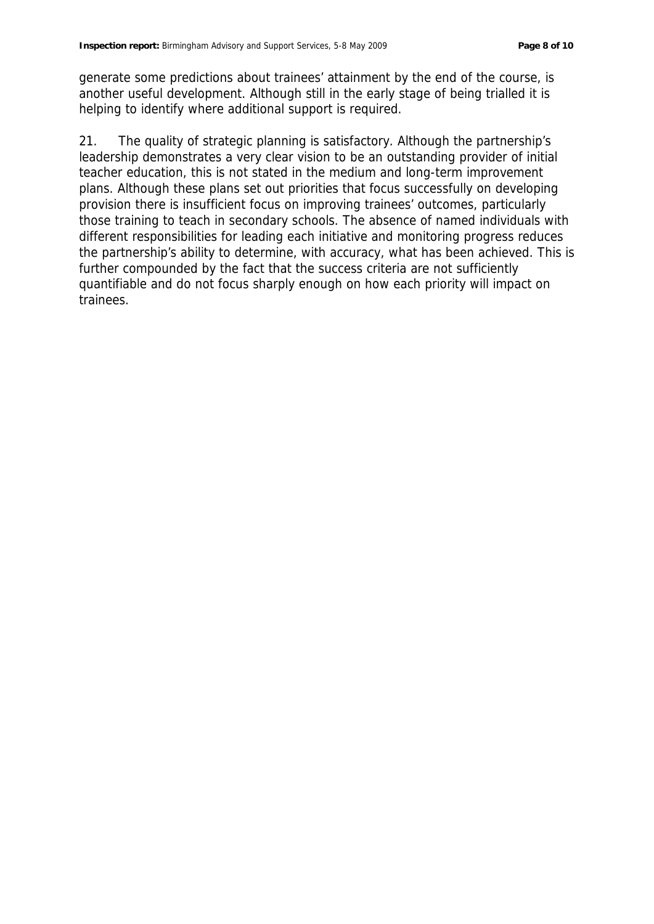generate some predictions about trainees' attainment by the end of the course, is another useful development. Although still in the early stage of being trialled it is helping to identify where additional support is required.

21. The quality of strategic planning is satisfactory. Although the partnership's leadership demonstrates a very clear vision to be an outstanding provider of initial teacher education, this is not stated in the medium and long-term improvement plans. Although these plans set out priorities that focus successfully on developing provision there is insufficient focus on improving trainees' outcomes, particularly those training to teach in secondary schools. The absence of named individuals with different responsibilities for leading each initiative and monitoring progress reduces the partnership's ability to determine, with accuracy, what has been achieved. This is further compounded by the fact that the success criteria are not sufficiently quantifiable and do not focus sharply enough on how each priority will impact on trainees.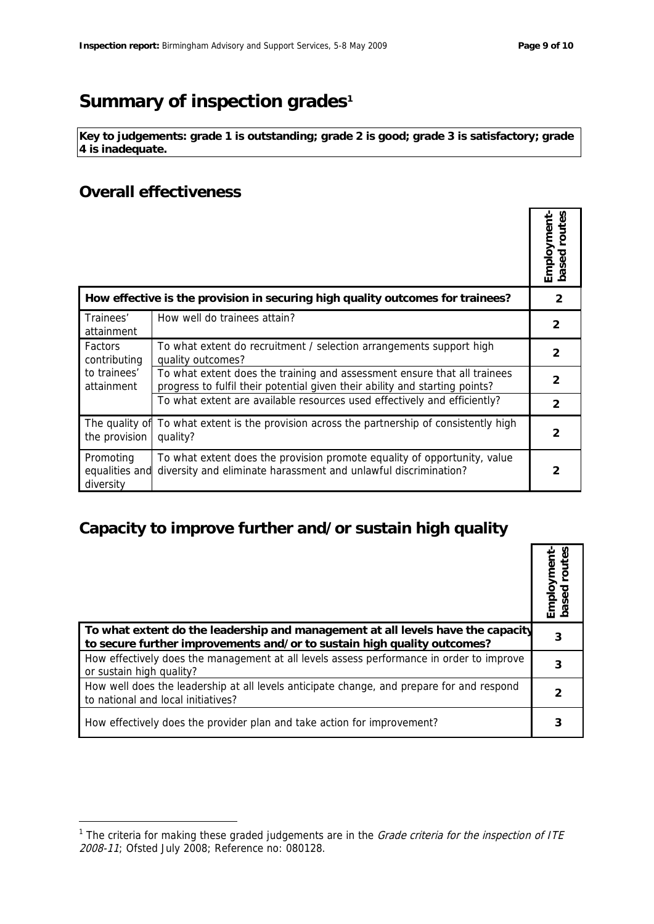# Summary of inspection grades<sup>1</sup>

**Key to judgements: grade 1 is outstanding; grade 2 is good; grade 3 is satisfactory; grade 4 is inadequate.**

#### **Overall effectiveness**

-

|                                                                                |                                                                                                                                                         | -mployment<br>based routes |
|--------------------------------------------------------------------------------|---------------------------------------------------------------------------------------------------------------------------------------------------------|----------------------------|
| How effective is the provision in securing high quality outcomes for trainees? |                                                                                                                                                         | 2                          |
| Trainees'<br>attainment                                                        | How well do trainees attain?                                                                                                                            | 2                          |
| <b>Factors</b><br>contributing<br>to trainees'<br>attainment                   | To what extent do recruitment / selection arrangements support high<br>quality outcomes?                                                                | 2                          |
|                                                                                | To what extent does the training and assessment ensure that all trainees<br>progress to fulfil their potential given their ability and starting points? | $\mathcal{P}$              |
|                                                                                | To what extent are available resources used effectively and efficiently?                                                                                | $\mathcal{P}$              |
| The quality of<br>the provision                                                | To what extent is the provision across the partnership of consistently high<br>quality?                                                                 | $\overline{2}$             |
| Promoting<br>equalities and<br>diversity                                       | To what extent does the provision promote equality of opportunity, value<br>diversity and eliminate harassment and unlawful discrimination?             | 2                          |

## **Capacity to improve further and/or sustain high quality**

|                                                                                                                                                            | Employmen<br>based route |
|------------------------------------------------------------------------------------------------------------------------------------------------------------|--------------------------|
| To what extent do the leadership and management at all levels have the capacity<br>to secure further improvements and/or to sustain high quality outcomes? | 3                        |
| How effectively does the management at all levels assess performance in order to improve<br>or sustain high quality?                                       |                          |
| How well does the leadership at all levels anticipate change, and prepare for and respond<br>to national and local initiatives?                            |                          |
| How effectively does the provider plan and take action for improvement?                                                                                    |                          |

<sup>&</sup>lt;sup>1</sup> The criteria for making these graded judgements are in the *Grade criteria for the inspection of ITE* 2008-11; Ofsted July 2008; Reference no: 080128.